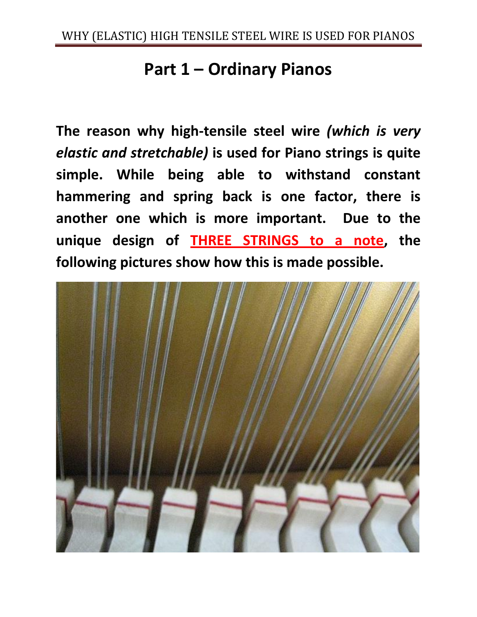## **Part 1 – Ordinary Pianos**

**The reason why high-tensile steel wire** *(which is very elastic and stretchable)* **is used for Piano strings is quite simple. While being able to withstand constant hammering and spring back is one factor, there is another one which is more important. Due to the unique design of THREE STRINGS to a note, the following pictures show how this is made possible.**

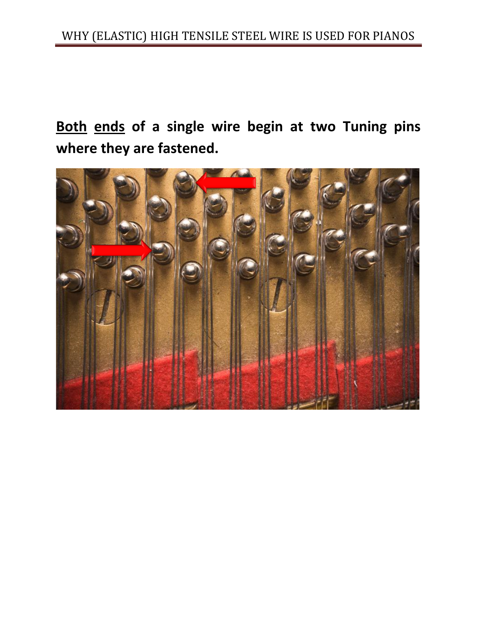**Both ends of a single wire begin at two Tuning pins where they are fastened.**

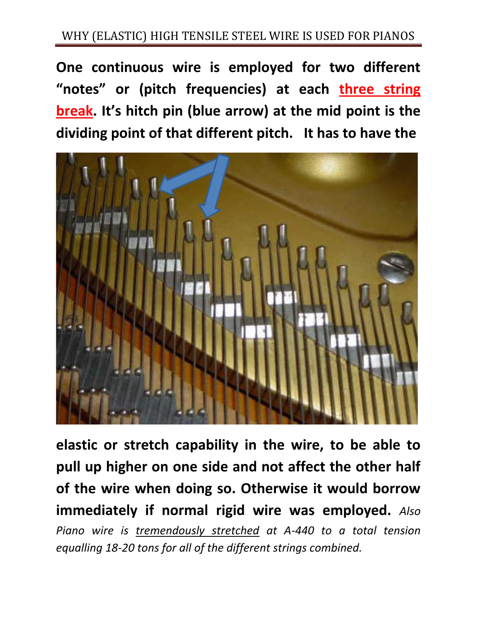### WHY (ELASTIC) HIGH TENSILE STEEL WIRE IS USED FOR PIANOS

**One continuous wire is employed for two different "notes" or (pitch frequencies) at each three string break. It's hitch pin (blue arrow) at the mid point is the dividing point of that different pitch. It has to have the**



**elastic or stretch capability in the wire, to be able to pull up higher on one side and not affect the other half of the wire when doing so. Otherwise it would borrow immediately if normal rigid wire was employed.** *Also Piano wire is tremendously stretched at A-440 to a total tension equalling 18-20 tons for all of the different strings combined.*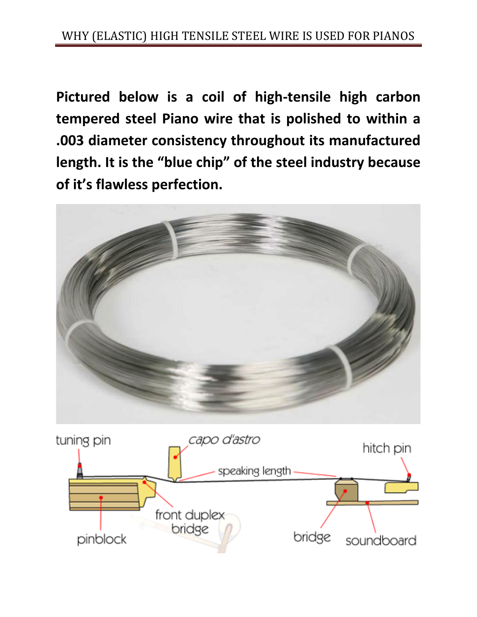**Pictured below is a coil of high-tensile high carbon tempered steel Piano wire that is polished to within a .003 diameter consistency throughout its manufactured length. It is the "blue chip" of the steel industry because of it's flawless perfection.**



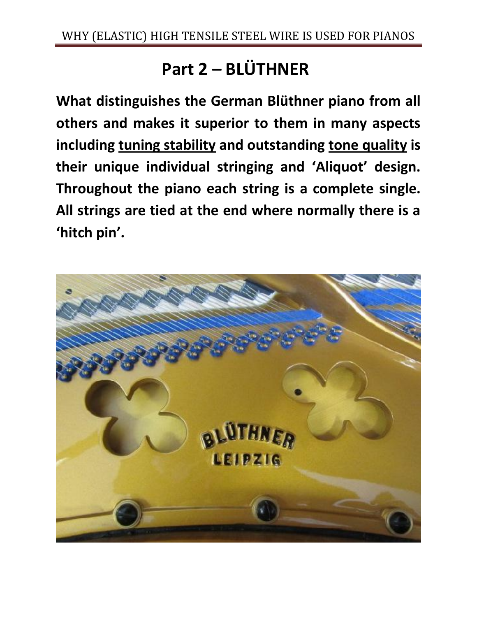# **Part 2 – BLÜTHNER**

**What distinguishes the German Blüthner piano from all others and makes it superior to them in many aspects including tuning stability and outstanding tone quality is their unique individual stringing and 'Aliquot' design. Throughout the piano each string is a complete single. All strings are tied at the end where normally there is a 'hitch pin'.**

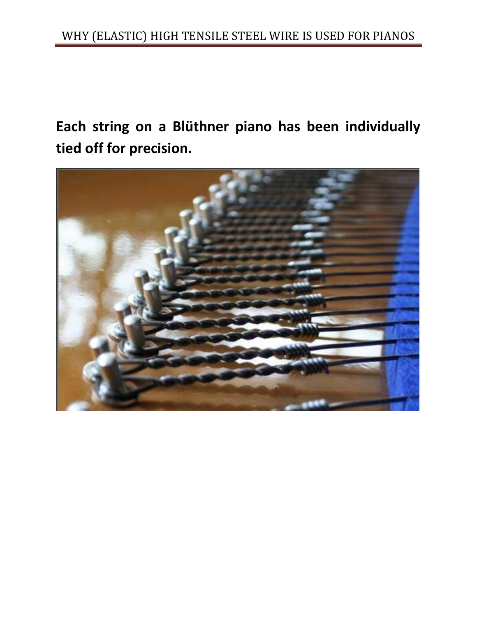**Each string on a Blüthner piano has been individually tied off for precision.** 

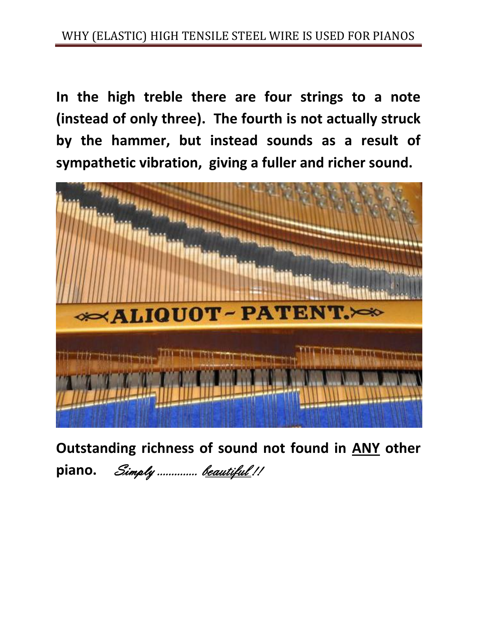### WHY (ELASTIC) HIGH TENSILE STEEL WIRE IS USED FOR PIANOS

**In the high treble there are four strings to a note (instead of only three). The fourth is not actually struck by the hammer, but instead sounds as a result of sympathetic vibration, giving a fuller and richer sound.**



**Outstanding richness of sound not found in ANY other piano.** Simply ………..…*beautiful !!*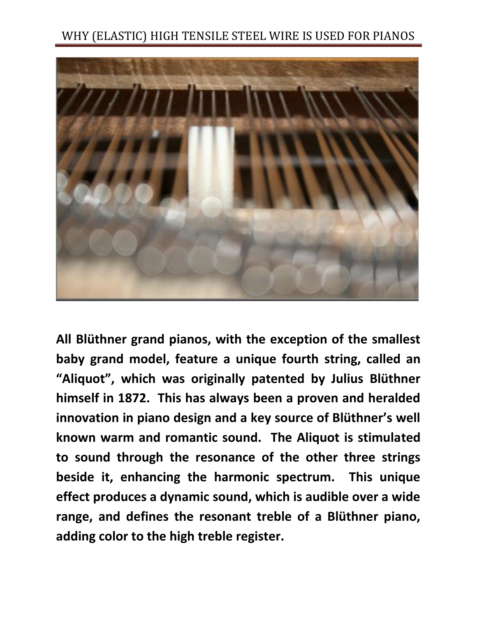### WHY (ELASTIC) HIGH TENSILE STEEL WIRE IS USED FOR PIANOS



**All Blüthner grand pianos, with the exception of the smallest baby grand model, feature a unique fourth string, called an "Aliquot", which was originally patented by Julius Blüthner himself in 1872. This has always been a proven and heralded innovation in piano design and a key source of Blüthner's well known warm and romantic sound. The Aliquot is stimulated to sound through the resonance of the other three strings beside it, enhancing the harmonic spectrum. This unique effect produces a dynamic sound, which is audible over a wide range, and defines the resonant treble of a Blüthner piano, adding color to the high treble register.**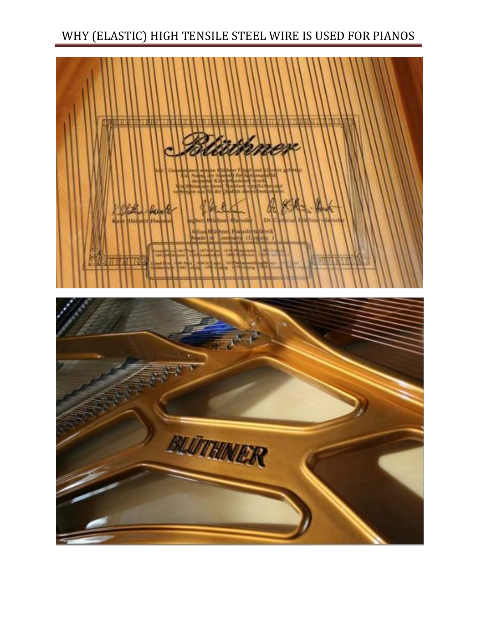# WHY (ELASTIC) HIGH TENSILE STEEL WIRE IS USED FOR PIANOSPLUTHINER